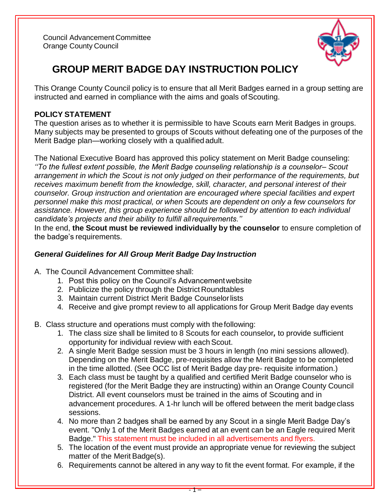Council Advancement Committee Orange County Council



# **GROUP MERIT BADGE DAY INSTRUCTION POLICY**

This Orange County Council policy is to ensure that all Merit Badges earned in a group setting are instructed and earned in compliance with the aims and goals of Scouting.

### **POLICY STATEMENT**

The question arises as to whether it is permissible to have Scouts earn Merit Badges in groups. Many subjects may be presented to groups of Scouts without defeating one of the purposes of the Merit Badge plan—working closely with a qualified adult.

The National Executive Board has approved this policy statement on Merit Badge counseling: *''To the fullest extent possible, the Merit Badge counseling relationship is a counselor– Scout arrangement in which the Scout is not only judged on their performance of the requirements, but receives maximum benefit from the knowledge, skill, character, and personal interest of their counselor. Group instruction and orientation are encouraged where special facilities and expert personnel make this most practical, or when Scouts are dependent on only a few counselors for assistance. However, this group experience should be followed by attention to each individual candidate's projects and their ability to fulfill allrequirements.''*

In the end, **the Scout must be reviewed individually by the counselor** to ensure completion of the badge's requirements.

## *General Guidelines for All Group Merit Badge Day Instruction*

- A. The Council Advancement Committee shall:
	- 1. Post this policy on the Council's Advancementwebsite
	- 2. Publicize the policy through the District Roundtables
	- 3. Maintain current District Merit Badge Counselorlists
	- 4. Receive and give prompt review to all applications for Group Merit Badge day events
- B. Class structure and operations must comply with thefollowing:
	- 1. The class size shall be limited to 8 Scouts for each counselor*,* to provide sufficient opportunity for individual review with each Scout.
	- 2. A single Merit Badge session must be 3 hours in length (no mini sessions allowed). Depending on the Merit Badge, pre-requisites allow the Merit Badge to be completed in the time allotted. (See OCC list of Merit Badge day pre- requisite information.)
	- 3. Each class must be taught by a qualified and certified Merit Badge counselor who is registered (for the Merit Badge they are instructing) within an Orange County Council District. All event counselors must be trained in the aims of Scouting and in advancement procedures. A 1-hr lunch will be offered between the merit badge class sessions.
	- 4. No more than 2 badges shall be earned by any Scout in a single Merit Badge Day's event. "Only 1 of the Merit Badges earned at an event can be an Eagle required Merit Badge." This statement must be included in all advertisements and flyers.
	- 5. The location of the event must provide an appropriate venue for reviewing the subject matter of the Merit Badge(s).
	- 6. Requirements cannot be altered in any way to fit the event format. For example, if the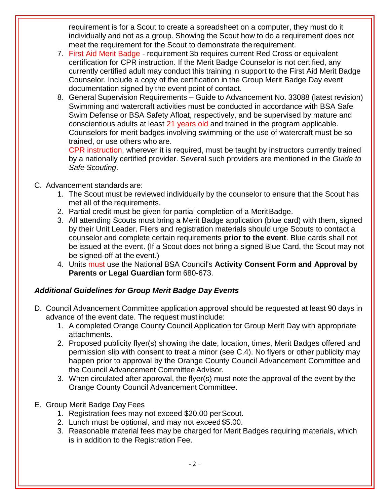requirement is for a Scout to create a spreadsheet on a computer, they must do it individually and not as a group. Showing the Scout how to do a requirement does not meet the requirement for the Scout to demonstrate therequirement.

- 7. First Aid Merit Badge requirement 3b requires current Red Cross or equivalent certification for CPR instruction. If the Merit Badge Counselor is not certified, any currently certified adult may conduct this training in support to the First Aid Merit Badge Counselor. Include a copy of the certification in the Group Merit Badge Day event documentation signed by the event point of contact.
- 8. General Supervision Requirements Guide to Advancement No. 33088 (latest revision) Swimming and watercraft activities must be conducted in accordance with BSA Safe Swim Defense or BSA Safety Afloat, respectively, and be supervised by mature and conscientious adults at least 21 years old and trained in the program applicable. Counselors for merit badges involving swimming or the use of watercraft must be so trained, or use others who are.

CPR instruction, wherever it is required, must be taught by instructors currently trained by a nationally certified provider. Several such providers are mentioned in the *Guide to Safe Scouting*.

#### C. Advancement standards are:

- 1. The Scout must be reviewed individually by the counselor to ensure that the Scout has met all of the requirements.
- 2. Partial credit must be given for partial completion of a MeritBadge.
- 3. All attending Scouts must bring a Merit Badge application (blue card) with them, signed by their Unit Leader. Fliers and registration materials should urge Scouts to contact a counselor and complete certain requirements **prior to the event**. Blue cards shall not be issued at the event. (If a Scout does not bring a signed Blue Card, the Scout may not be signed-off at the event.)
- 4. Units must use the National BSA Council's **Activity Consent Form and Approval by Parents or Legal Guardian** form 680-673.

## *Additional Guidelines for Group Merit Badge Day Events*

- D. Council Advancement Committee application approval should be requested at least 90 days in advance of the event date. The request mustinclude:
	- 1. A completed Orange County Council Application for Group Merit Day with appropriate attachments.
	- 2. Proposed publicity flyer(s) showing the date, location, times, Merit Badges offered and permission slip with consent to treat a minor (see C.4). No flyers or other publicity may happen prior to approval by the Orange County Council Advancement Committee and the Council Advancement Committee Advisor.
	- 3. When circulated after approval, the flyer(s) must note the approval of the event by the Orange County Council Advancement Committee.

#### E. Group Merit Badge Day Fees

- 1. Registration fees may not exceed \$20.00 perScout.
- 2. Lunch must be optional, and may not exceed\$5.00.
- 3. Reasonable material fees may be charged for Merit Badges requiring materials, which is in addition to the Registration Fee.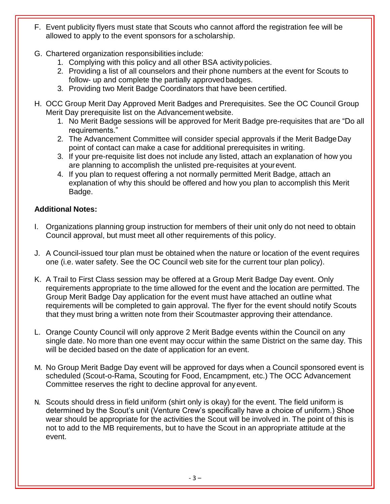- F. Event publicity flyers must state that Scouts who cannot afford the registration fee will be allowed to apply to the event sponsors for a scholarship.
- G. Chartered organization responsibilities include:
	- 1. Complying with this policy and all other BSA activity policies.
	- 2. Providing a list of all counselors and their phone numbers at the event for Scouts to follow- up and complete the partially approvedbadges.
	- 3. Providing two Merit Badge Coordinators that have been certified.
- H. OCC Group Merit Day Approved Merit Badges and Prerequisites. See the OC Council Group Merit Day prerequisite list on the Advancement website.
	- 1. No Merit Badge sessions will be approved for Merit Badge pre-requisites that are "Do all requirements."
	- 2. The Advancement Committee will consider special approvals if the Merit BadgeDay point of contact can make a case for additional prerequisites in writing.
	- 3. If your pre-requisite list does not include any listed, attach an explanation of how you are planning to accomplish the unlisted pre-requisites at yourevent.
	- 4. If you plan to request offering a not normally permitted Merit Badge, attach an explanation of why this should be offered and how you plan to accomplish this Merit Badge.

## **Additional Notes:**

- I. Organizations planning group instruction for members of their unit only do not need to obtain Council approval, but must meet all other requirements of this policy.
- J. A Council-issued tour plan must be obtained when the nature or location of the event requires one (i.e. water safety. See the OC Council web site for the current tour plan policy).
- K. A Trail to First Class session may be offered at a Group Merit Badge Day event. Only requirements appropriate to the time allowed for the event and the location are permitted. The Group Merit Badge Day application for the event must have attached an outline what requirements will be completed to gain approval. The flyer for the event should notify Scouts that they must bring a written note from their Scoutmaster approving their attendance.
- L. Orange County Council will only approve 2 Merit Badge events within the Council on any single date. No more than one event may occur within the same District on the same day. This will be decided based on the date of application for an event.
- M. No Group Merit Badge Day event will be approved for days when a Council sponsored event is scheduled (Scout-o-Rama, Scouting for Food, Encampment, etc.) The OCC Advancement Committee reserves the right to decline approval for anyevent.
- N. Scouts should dress in field uniform (shirt only is okay) for the event. The field uniform is determined by the Scout's unit (Venture Crew's specifically have a choice of uniform.) Shoe wear should be appropriate for the activities the Scout will be involved in. The point of this is not to add to the MB requirements, but to have the Scout in an appropriate attitude at the event.